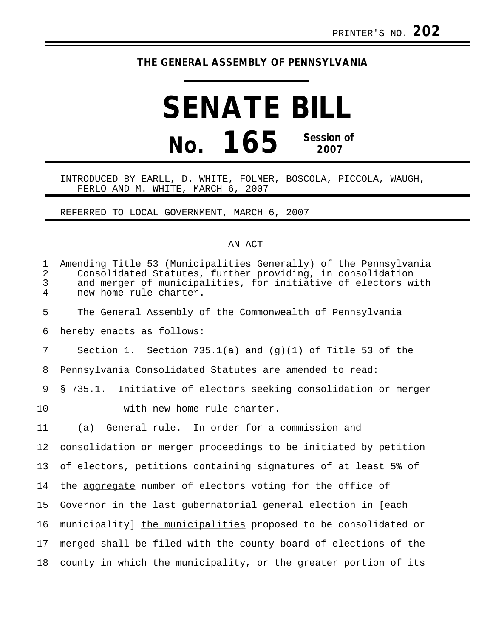## **THE GENERAL ASSEMBLY OF PENNSYLVANIA**

## **SENATE BILL No. 165 Session of 2007**

## INTRODUCED BY EARLL, D. WHITE, FOLMER, BOSCOLA, PICCOLA, WAUGH, FERLO AND M. WHITE, MARCH 6, 2007

REFERRED TO LOCAL GOVERNMENT, MARCH 6, 2007

## AN ACT

| $\mathbf{1}$<br>$\overline{2}$<br>$\mathfrak{Z}$<br>$\overline{4}$ | Amending Title 53 (Municipalities Generally) of the Pennsylvania<br>Consolidated Statutes, further providing, in consolidation<br>and merger of municipalities, for initiative of electors with<br>new home rule charter. |
|--------------------------------------------------------------------|---------------------------------------------------------------------------------------------------------------------------------------------------------------------------------------------------------------------------|
| 5                                                                  | The General Assembly of the Commonwealth of Pennsylvania                                                                                                                                                                  |
| 6                                                                  | hereby enacts as follows:                                                                                                                                                                                                 |
| 7                                                                  | Section 1. Section 735.1(a) and $(g)(1)$ of Title 53 of the                                                                                                                                                               |
| 8                                                                  | Pennsylvania Consolidated Statutes are amended to read:                                                                                                                                                                   |
| 9                                                                  | § 735.1. Initiative of electors seeking consolidation or merger                                                                                                                                                           |
| 10                                                                 | with new home rule charter.                                                                                                                                                                                               |
| 11                                                                 | (a) General rule.--In order for a commission and                                                                                                                                                                          |
| 12                                                                 | consolidation or merger proceedings to be initiated by petition                                                                                                                                                           |
| 13                                                                 | of electors, petitions containing signatures of at least 5% of                                                                                                                                                            |
| 14                                                                 | the aggregate number of electors voting for the office of                                                                                                                                                                 |
| 15                                                                 | Governor in the last gubernatorial general election in [each                                                                                                                                                              |
| 16                                                                 | municipality] the municipalities proposed to be consolidated or                                                                                                                                                           |
| 17                                                                 | merged shall be filed with the county board of elections of the                                                                                                                                                           |
| 18                                                                 | county in which the municipality, or the greater portion of its                                                                                                                                                           |